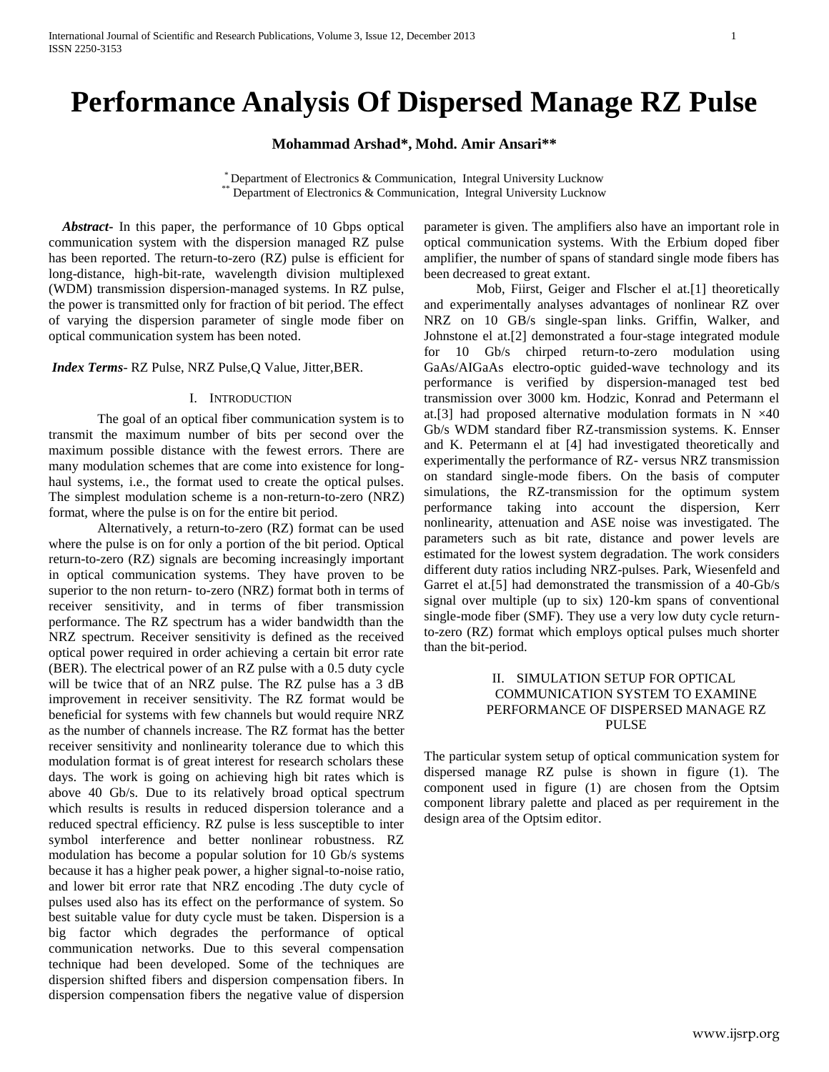# **Performance Analysis Of Dispersed Manage RZ Pulse**

**Mohammad Arshad\*, Mohd. Amir Ansari\*\***

\* Department of Electronics & Communication, Integral University Lucknow \*\* Department of Electronics & Communication, Integral University Lucknow

 *Abstract***-** In this paper, the performance of 10 Gbps optical communication system with the dispersion managed RZ pulse has been reported. The return-to-zero (RZ) pulse is efficient for long-distance, high-bit-rate, wavelength division multiplexed (WDM) transmission dispersion-managed systems. In RZ pulse, the power is transmitted only for fraction of bit period. The effect of varying the dispersion parameter of single mode fiber on optical communication system has been noted.

*Index Terms*- RZ Pulse, NRZ Pulse,Q Value, Jitter,BER.

### I. INTRODUCTION

The goal of an optical fiber communication system is to transmit the maximum number of bits per second over the maximum possible distance with the fewest errors. There are many modulation schemes that are come into existence for longhaul systems, i.e., the format used to create the optical pulses. The simplest modulation scheme is a non-return-to-zero (NRZ) format, where the pulse is on for the entire bit period.

Alternatively, a return-to-zero (RZ) format can be used where the pulse is on for only a portion of the bit period. Optical return-to-zero (RZ) signals are becoming increasingly important in optical communication systems. They have proven to be superior to the non return- to-zero (NRZ) format both in terms of receiver sensitivity, and in terms of fiber transmission performance. The RZ spectrum has a wider bandwidth than the NRZ spectrum. Receiver sensitivity is defined as the received optical power required in order achieving a certain bit error rate (BER). The electrical power of an RZ pulse with a 0.5 duty cycle will be twice that of an NRZ pulse. The RZ pulse has a 3 dB improvement in receiver sensitivity. The RZ format would be beneficial for systems with few channels but would require NRZ as the number of channels increase. The RZ format has the better receiver sensitivity and nonlinearity tolerance due to which this modulation format is of great interest for research scholars these days. The work is going on achieving high bit rates which is above 40 Gb/s. Due to its relatively broad optical spectrum which results is results in reduced dispersion tolerance and a reduced spectral efficiency. RZ pulse is less susceptible to inter symbol interference and better nonlinear robustness. RZ modulation has become a popular solution for 10 Gb/s systems because it has a higher peak power, a higher signal-to-noise ratio, and lower bit error rate that NRZ encoding .The duty cycle of pulses used also has its effect on the performance of system. So best suitable value for duty cycle must be taken. Dispersion is a big factor which degrades the performance of optical communication networks. Due to this several compensation technique had been developed. Some of the techniques are dispersion shifted fibers and dispersion compensation fibers. In dispersion compensation fibers the negative value of dispersion parameter is given. The amplifiers also have an important role in optical communication systems. With the Erbium doped fiber amplifier, the number of spans of standard single mode fibers has been decreased to great extant.

Mob, Fiirst, Geiger and Flscher el at.[1] theoretically and experimentally analyses advantages of nonlinear RZ over NRZ on 10 GB/s single-span links. Griffin, Walker, and Johnstone el at.[2] demonstrated a four-stage integrated module for 10 Gb/s chirped return-to-zero modulation using GaAs/AIGaAs electro-optic guided-wave technology and its performance is verified by dispersion-managed test bed transmission over 3000 km. Hodzic, Konrad and Petermann el at.[3] had proposed alternative modulation formats in  $N \times 40$ Gb/s WDM standard fiber RZ-transmission systems. K. Ennser and K. Petermann el at [4] had investigated theoretically and experimentally the performance of RZ- versus NRZ transmission on standard single-mode fibers. On the basis of computer simulations, the RZ-transmission for the optimum system performance taking into account the dispersion, Kerr nonlinearity, attenuation and ASE noise was investigated. The parameters such as bit rate, distance and power levels are estimated for the lowest system degradation. The work considers different duty ratios including NRZ-pulses. Park*,* Wiesenfeld and Garret el at.[5] had demonstrated the transmission of a 40-Gb/s signal over multiple (up to six) 120-km spans of conventional single-mode fiber (SMF). They use a very low duty cycle returnto-zero (RZ) format which employs optical pulses much shorter than the bit-period.

# II. SIMULATION SETUP FOR OPTICAL COMMUNICATION SYSTEM TO EXAMINE PERFORMANCE OF DISPERSED MANAGE RZ PULSE

The particular system setup of optical communication system for dispersed manage RZ pulse is shown in figure (1). The component used in figure (1) are chosen from the Optsim component library palette and placed as per requirement in the design area of the Optsim editor.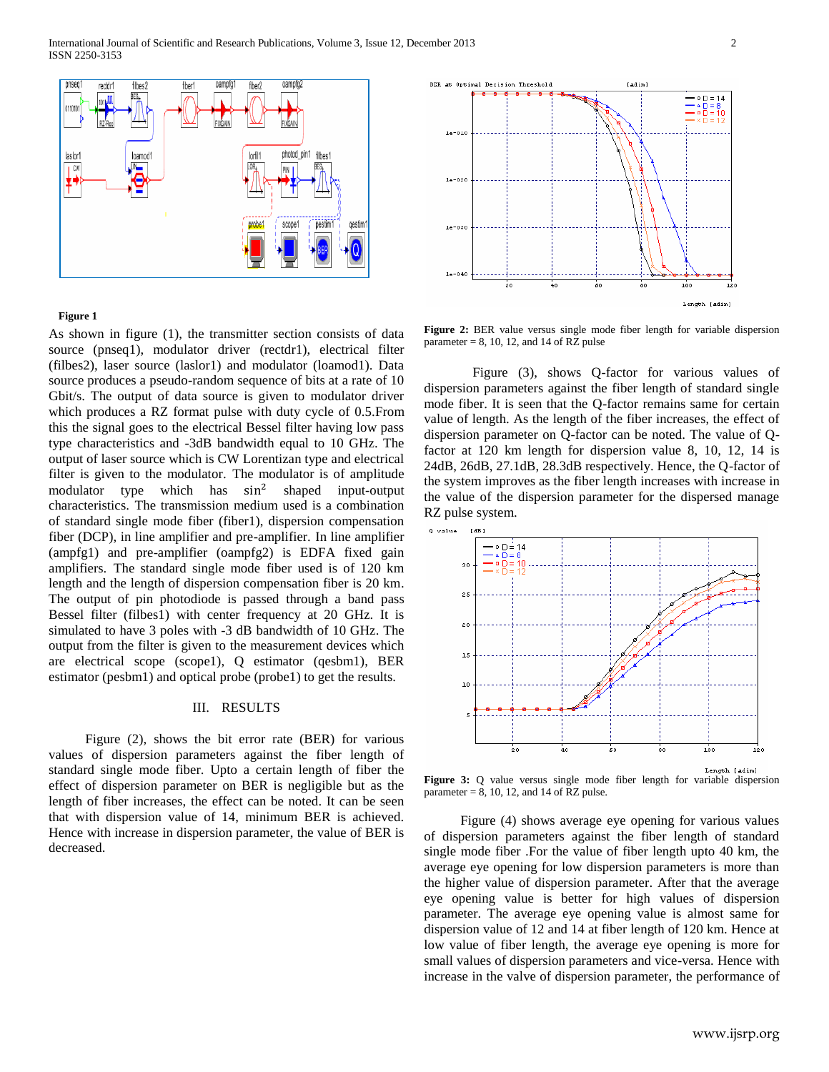

#### **Figure 1**

As shown in figure (1), the transmitter section consists of data source (pnseq1), modulator driver (rectdr1), electrical filter (filbes2), laser source (laslor1) and modulator (loamod1). Data source produces a pseudo-random sequence of bits at a rate of 10 Gbit/s. The output of data source is given to modulator driver which produces a RZ format pulse with duty cycle of 0.5.From this the signal goes to the electrical Bessel filter having low pass type characteristics and -3dB bandwidth equal to 10 GHz. The output of laser source which is CW Lorentizan type and electrical filter is given to the modulator. The modulator is of amplitude modulator type which has  $sin^2$ shaped input-output characteristics. The transmission medium used is a combination of standard single mode fiber (fiber1), dispersion compensation fiber (DCP), in line amplifier and pre-amplifier. In line amplifier (ampfg1) and pre-amplifier (oampfg2) is EDFA fixed gain amplifiers. The standard single mode fiber used is of 120 km length and the length of dispersion compensation fiber is 20 km. The output of pin photodiode is passed through a band pass Bessel filter (filbes1) with center frequency at 20 GHz. It is simulated to have 3 poles with -3 dB bandwidth of 10 GHz. The output from the filter is given to the measurement devices which are electrical scope (scope1), Q estimator (qesbm1), BER estimator (pesbm1) and optical probe (probe1) to get the results.

## III. RESULTS

Figure (2), shows the bit error rate (BER) for various values of dispersion parameters against the fiber length of standard single mode fiber. Upto a certain length of fiber the effect of dispersion parameter on BER is negligible but as the length of fiber increases, the effect can be noted. It can be seen that with dispersion value of 14, minimum BER is achieved. Hence with increase in dispersion parameter, the value of BER is decreased.



Figure (3), shows Q-factor for various values of dispersion parameters against the fiber length of standard single mode fiber. It is seen that the Q-factor remains same for certain value of length. As the length of the fiber increases, the effect of dispersion parameter on Q-factor can be noted. The value of Qfactor at 120 km length for dispersion value 8, 10, 12, 14 is 24dB, 26dB, 27.1dB, 28.3dB respectively. Hence, the Q-factor of the system improves as the fiber length increases with increase in the value of the dispersion parameter for the dispersed manage RZ pulse system.

**Figure 2:** BER value versus single mode fiber length for variable dispersion

parameter  $= 8$ , 10, 12, and 14 of RZ pulse



Figure 3: Q value versus single mode fiber length for variable dispersion parameter  $= 8$ , 10, 12, and 14 of RZ pulse.

Figure (4) shows average eye opening for various values of dispersion parameters against the fiber length of standard single mode fiber .For the value of fiber length upto 40 km, the average eye opening for low dispersion parameters is more than the higher value of dispersion parameter. After that the average eye opening value is better for high values of dispersion parameter. The average eye opening value is almost same for dispersion value of 12 and 14 at fiber length of 120 km. Hence at low value of fiber length, the average eye opening is more for small values of dispersion parameters and vice-versa. Hence with increase in the valve of dispersion parameter, the performance of